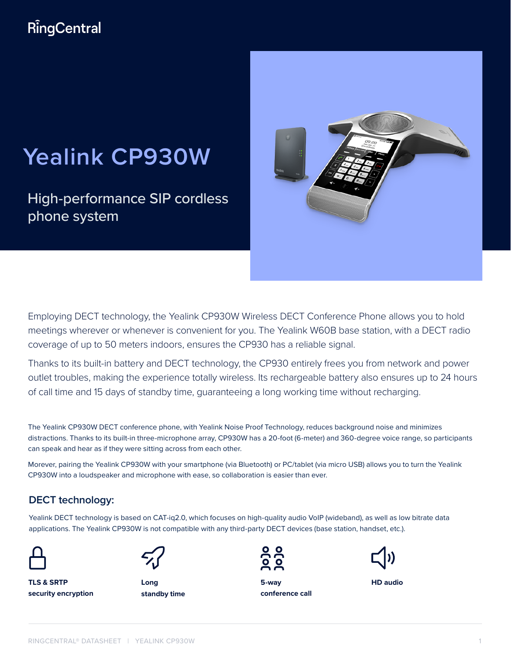# RingCentral

# **Yealink CP930W**

High-performance SIP cordless phone system



Employing DECT technology, the Yealink CP930W Wireless DECT Conference Phone allows you to hold meetings wherever or whenever is convenient for you. The Yealink W60B base station, with a DECT radio coverage of up to 50 meters indoors, ensures the CP930 has a reliable signal.

Thanks to its built-in battery and DECT technology, the CP930 entirely frees you from network and power outlet troubles, making the experience totally wireless. Its rechargeable battery also ensures up to 24 hours of call time and 15 days of standby time, guaranteeing a long working time without recharging.

The Yealink CP930W DECT conference phone, with Yealink Noise Proof Technology, reduces background noise and minimizes distractions. Thanks to its built-in three-microphone array, CP930W has a 20-foot (6-meter) and 360-degree voice range, so participants can speak and hear as if they were sitting across from each other.

Morever, pairing the Yealink CP930W with your smartphone (via Bluetooth) or PC/tablet (via micro USB) allows you to turn the Yealink CP930W into a loudspeaker and microphone with ease, so collaboration is easier than ever.

## **DECT technology:**

Yealink DECT technology is based on CAT-iq2.0, which focuses on high-quality audio VoIP (wideband), as well as low bitrate data applications. The Yealink CP930W is not compatible with any third-party DECT devices (base station, handset, etc.).



**TLS & SRTP security encryption**



**standby time**



**5-way conference call Long HD audio**

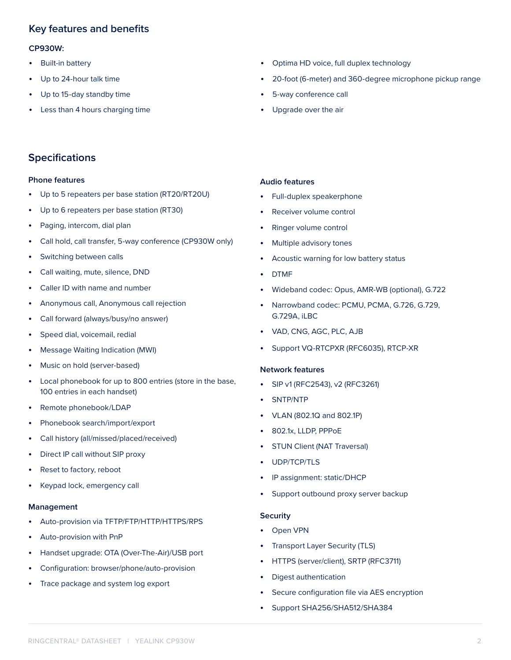## **Key features and benefits**

#### **CP930W:**

- Built-in battery
- Up to 24-hour talk time
- Up to 15-day standby time
- Less than 4 hours charging time
- Optima HD voice, full duplex technology
- 20-foot (6-meter) and 360-degree microphone pickup range
- 5-way conference call
- Upgrade over the air

## **Specifications**

#### **Phone features**

- Up to 5 repeaters per base station (RT20/RT20U)
- Up to 6 repeaters per base station (RT30)
- Paging, intercom, dial plan
- Call hold, call transfer, 5-way conference (CP930W only)
- Switching between calls
- Call waiting, mute, silence, DND
- Caller ID with name and number
- Anonymous call, Anonymous call rejection
- Call forward (always/busy/no answer)
- Speed dial, voicemail, redial
- Message Waiting Indication (MWI)
- Music on hold (server-based)
- Local phonebook for up to 800 entries (store in the base, 100 entries in each handset)
- Remote phonebook/LDAP
- Phonebook search/import/export
- Call history (all/missed/placed/received)
- Direct IP call without SIP proxy
- Reset to factory, reboot
- Keypad lock, emergency call

#### **Management**

- Auto-provision via TFTP/FTP/HTTP/HTTPS/RPS
- Auto-provision with PnP
- Handset upgrade: OTA (Over-The-Air)/USB port
- Configuration: browser/phone/auto-provision
- Trace package and system log export

#### **Audio features**

- Full-duplex speakerphone
- Receiver volume control
- Ringer volume control
- Multiple advisory tones
- Acoustic warning for low battery status
- DTMF
- Wideband codec: Opus, AMR-WB (optional), G.722
- Narrowband codec: PCMU, PCMA, G.726, G.729, G.729A, iLBC
- VAD, CNG, AGC, PLC, AJB
- Support VQ-RTCPXR (RFC6035), RTCP-XR

#### **Network features**

- SIP v1 (RFC2543), v2 (RFC3261)
- SNTP/NTP
- VLAN (802.1Q and 802.1P)
- 802.1x, LLDP, PPPoE
- STUN Client (NAT Traversal)
- UDP/TCP/TLS
- IP assignment: static/DHCP
- Support outbound proxy server backup

#### **Security**

- Open VPN
- Transport Layer Security (TLS)
- HTTPS (server/client), SRTP (RFC3711)
- Digest authentication
- Secure configuration file via AES encryption
- Support SHA256/SHA512/SHA384